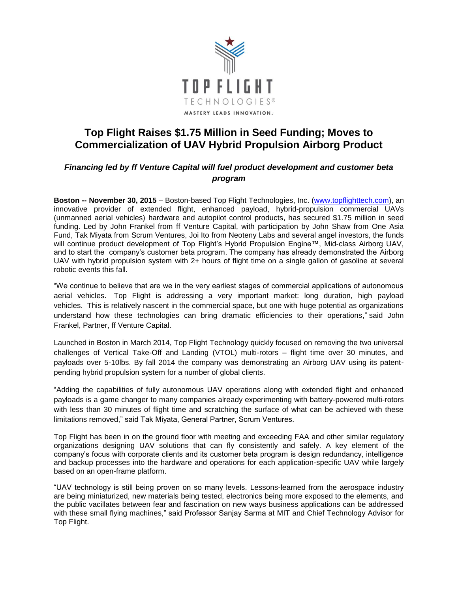

## **Top Flight Raises \$1.75 Million in Seed Funding; Moves to Commercialization of UAV Hybrid Propulsion Airborg Product**

## *Financing led by ff Venture Capital will fuel product development and customer beta program*

**Boston -- November 30, 2015** – Boston-based Top Flight Technologies, Inc. [\(www.topflighttech.com\)](http://www.topflighttech.com/), an innovative provider of extended flight, enhanced payload, hybrid-propulsion commercial UAVs (unmanned aerial vehicles) hardware and autopilot control products, has secured \$1.75 million in seed funding. Led by John Frankel from ff Venture Capital, with participation by John Shaw from One Asia Fund, Tak Miyata from Scrum Ventures, Joi Ito from Neoteny Labs and several angel investors, the funds will continue product development of Top Flight's Hybrid Propulsion Engine™, Mid-class Airborg UAV, and to start the company's customer beta program. The company has already demonstrated the Airborg UAV with hybrid propulsion system with 2+ hours of flight time on a single gallon of gasoline at several robotic events this fall.

"We continue to believe that are we in the very earliest stages of commercial applications of autonomous aerial vehicles. Top Flight is addressing a very important market: long duration, high payload vehicles. This is relatively nascent in the commercial space, but one with huge potential as organizations understand how these technologies can bring dramatic efficiencies to their operations," said John Frankel, Partner, ff Venture Capital.

Launched in Boston in March 2014, Top Flight Technology quickly focused on removing the two universal challenges of Vertical Take-Off and Landing (VTOL) multi-rotors – flight time over 30 minutes, and payloads over 5-10lbs. By fall 2014 the company was demonstrating an Airborg UAV using its patentpending hybrid propulsion system for a number of global clients.

"Adding the capabilities of fully autonomous UAV operations along with extended flight and enhanced payloads is a game changer to many companies already experimenting with battery-powered multi-rotors with less than 30 minutes of flight time and scratching the surface of what can be achieved with these limitations removed," said Tak Miyata, General Partner, Scrum Ventures.

Top Flight has been in on the ground floor with meeting and exceeding FAA and other similar regulatory organizations designing UAV solutions that can fly consistently and safely. A key element of the company's focus with corporate clients and its customer beta program is design redundancy, intelligence and backup processes into the hardware and operations for each application-specific UAV while largely based on an open-frame platform.

"UAV technology is still being proven on so many levels. Lessons-learned from the aerospace industry are being miniaturized, new materials being tested, electronics being more exposed to the elements, and the public vacillates between fear and fascination on new ways business applications can be addressed with these small flying machines," said Professor Sanjay Sarma at MIT and Chief Technology Advisor for Top Flight.